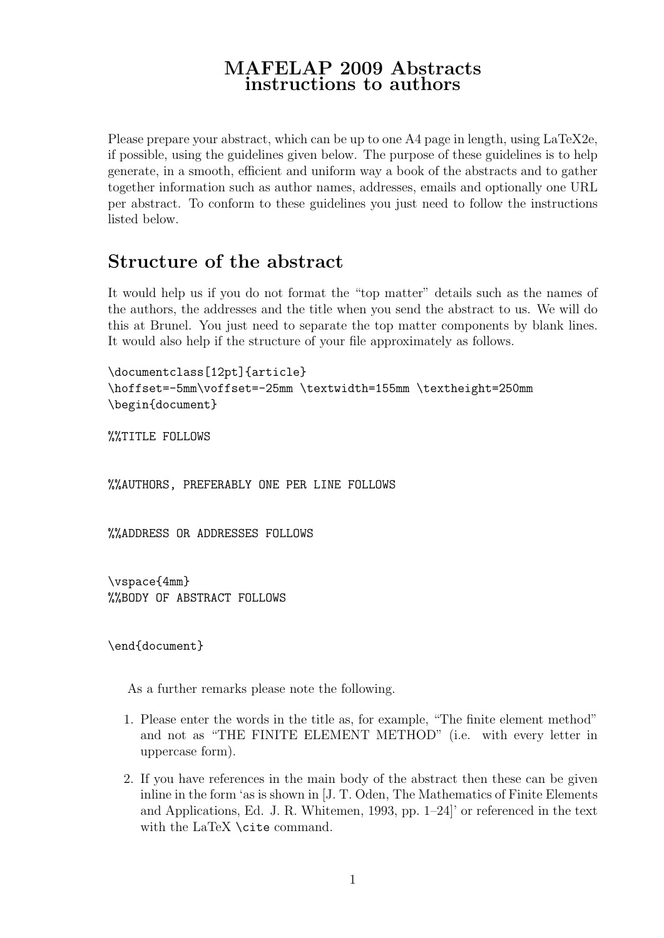### MAFELAP 2009 Abstracts instructions to authors

Please prepare your abstract, which can be up to one A4 page in length, using LaTeX2e, if possible, using the guidelines given below. The purpose of these guidelines is to help generate, in a smooth, efficient and uniform way a book of the abstracts and to gather together information such as author names, addresses, emails and optionally one URL per abstract. To conform to these guidelines you just need to follow the instructions listed below.

# Structure of the abstract

It would help us if you do not format the "top matter" details such as the names of the authors, the addresses and the title when you send the abstract to us. We will do this at Brunel. You just need to separate the top matter components by blank lines. It would also help if the structure of your file approximately as follows.

```
\documentclass[12pt]{article}
\hoffset=-5mm\voffset=-25mm \textwidth=155mm \textheight=250mm
\begin{document}
```
%%TITLE FOLLOWS

%%AUTHORS, PREFERABLY ONE PER LINE FOLLOWS

%%ADDRESS OR ADDRESSES FOLLOWS

\vspace{4mm} %%BODY OF ABSTRACT FOLLOWS

\end{document}

As a further remarks please note the following.

- 1. Please enter the words in the title as, for example, "The finite element method" and not as "THE FINITE ELEMENT METHOD" (i.e. with every letter in uppercase form).
- 2. If you have references in the main body of the abstract then these can be given inline in the form 'as is shown in [J. T. Oden, The Mathematics of Finite Elements and Applications, Ed. J. R. Whitemen, 1993, pp. 1–24]' or referenced in the text with the LaTeX \cite command.